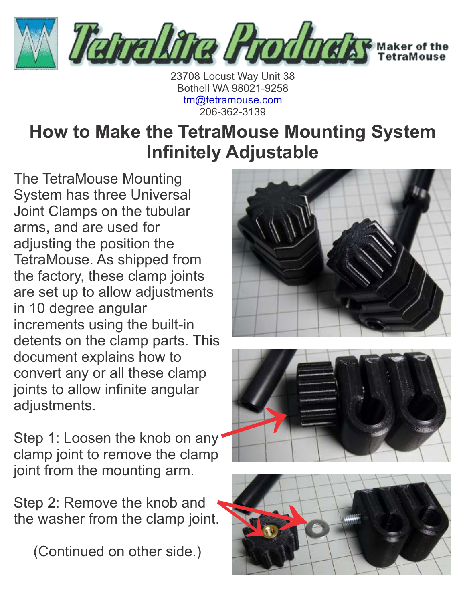

23708 Locust Way Unit 38 Bothell WA 98021-9258 [tm@tetramouse.com](mailto:tm@tetramouse.com) 206-362-3139

## **How to Make the TetraMouse Mounting System Infinitely Adjustable**

The TetraMouse Mounting System has three Universal Joint Clamps on the tubular arms, and are used for adjusting the position the TetraMouse. As shipped from the factory, these clamp joints are set up to allow adjustments in 10 degree angular increments using the built-in detents on the clamp parts. This document explains how to convert any or all these clamp joints to allow infinite angular adjustments.

Step 1: Loosen the knob on any clamp joint to remove the clamp joint from the mounting arm.

Step 2: Remove the knob and the washer from the clamp joint.

(Continued on other side.)